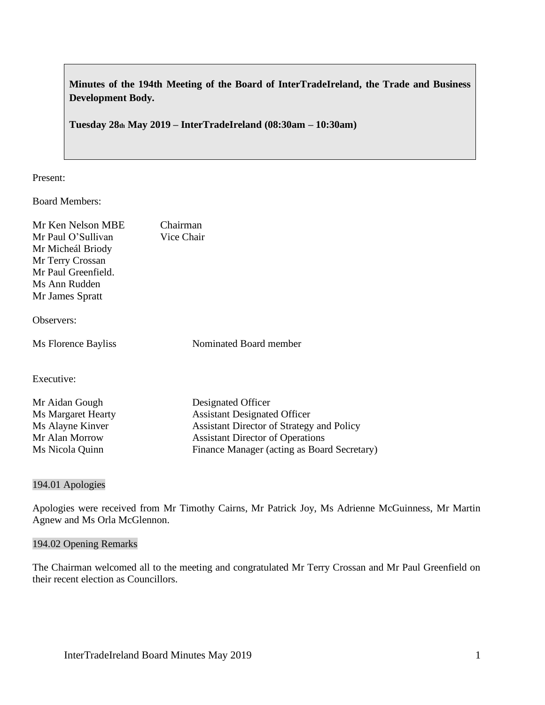**Minutes of the 194th Meeting of the Board of InterTradeIreland, the Trade and Business Development Body.**

**Tuesday 28th May 2019 – InterTradeIreland (08:30am – 10:30am)**

Present:

Board Members:

| Mr Ken Nelson MBE         | Chairman                                  |
|---------------------------|-------------------------------------------|
| Mr Paul O'Sullivan        | Vice Chair                                |
| Mr Micheál Briody         |                                           |
| Mr Terry Crossan          |                                           |
| Mr Paul Greenfield.       |                                           |
| Ms Ann Rudden             |                                           |
| Mr James Spratt           |                                           |
| Observers:                |                                           |
| Ms Florence Bayliss       | Nominated Board member                    |
| Executive:                |                                           |
| Mr Aidan Gough            | Designated Officer                        |
| <b>Ms Margaret Hearty</b> | <b>Assistant Designated Officer</b>       |
| Ms Alayne Kinver          | Assistant Director of Strategy and Policy |
| Mr Alan Morrow            | <b>Assistant Director of Operations</b>   |

Ms Nicola Quinn Finance Manager (acting as Board Secretary)

#### 194.01 Apologies

Apologies were received from Mr Timothy Cairns, Mr Patrick Joy, Ms Adrienne McGuinness, Mr Martin Agnew and Ms Orla McGlennon.

#### 194.02 Opening Remarks

The Chairman welcomed all to the meeting and congratulated Mr Terry Crossan and Mr Paul Greenfield on their recent election as Councillors.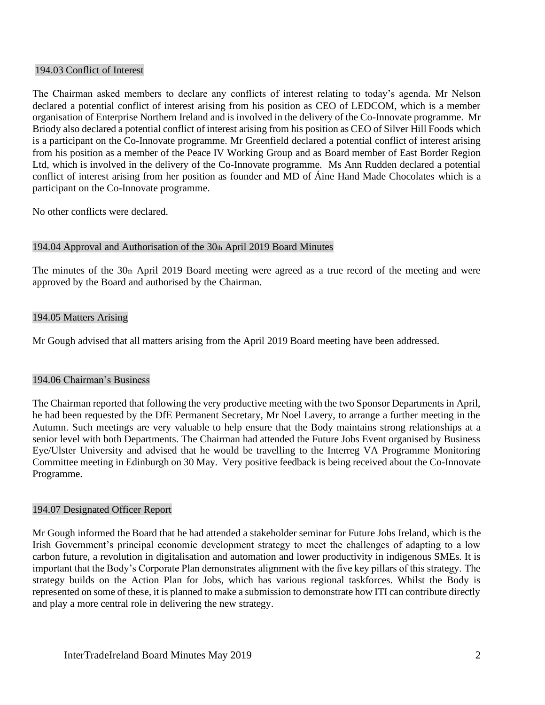#### 194.03 Conflict of Interest

The Chairman asked members to declare any conflicts of interest relating to today's agenda. Mr Nelson declared a potential conflict of interest arising from his position as CEO of LEDCOM, which is a member organisation of Enterprise Northern Ireland and is involved in the delivery of the Co-Innovate programme. Mr Briody also declared a potential conflict of interest arising from his position as CEO of Silver Hill Foods which is a participant on the Co-Innovate programme. Mr Greenfield declared a potential conflict of interest arising from his position as a member of the Peace IV Working Group and as Board member of East Border Region Ltd, which is involved in the delivery of the Co-Innovate programme. Ms Ann Rudden declared a potential conflict of interest arising from her position as founder and MD of Áine Hand Made Chocolates which is a participant on the Co-Innovate programme.

No other conflicts were declared.

# 194.04 Approval and Authorisation of the 30th April 2019 Board Minutes

The minutes of the  $30<sub>th</sub>$  April 2019 Board meeting were agreed as a true record of the meeting and were approved by the Board and authorised by the Chairman.

#### 194.05 Matters Arising

Mr Gough advised that all matters arising from the April 2019 Board meeting have been addressed.

#### 194.06 Chairman's Business

The Chairman reported that following the very productive meeting with the two Sponsor Departments in April, he had been requested by the DfE Permanent Secretary, Mr Noel Lavery, to arrange a further meeting in the Autumn. Such meetings are very valuable to help ensure that the Body maintains strong relationships at a senior level with both Departments. The Chairman had attended the Future Jobs Event organised by Business Eye/Ulster University and advised that he would be travelling to the Interreg VA Programme Monitoring Committee meeting in Edinburgh on 30 May. Very positive feedback is being received about the Co-Innovate Programme.

#### 194.07 Designated Officer Report

Mr Gough informed the Board that he had attended a stakeholder seminar for Future Jobs Ireland, which is the Irish Government's principal economic development strategy to meet the challenges of adapting to a low carbon future, a revolution in digitalisation and automation and lower productivity in indigenous SMEs. It is important that the Body's Corporate Plan demonstrates alignment with the five key pillars of this strategy. The strategy builds on the Action Plan for Jobs, which has various regional taskforces. Whilst the Body is represented on some of these, it is planned to make a submission to demonstrate how ITI can contribute directly and play a more central role in delivering the new strategy.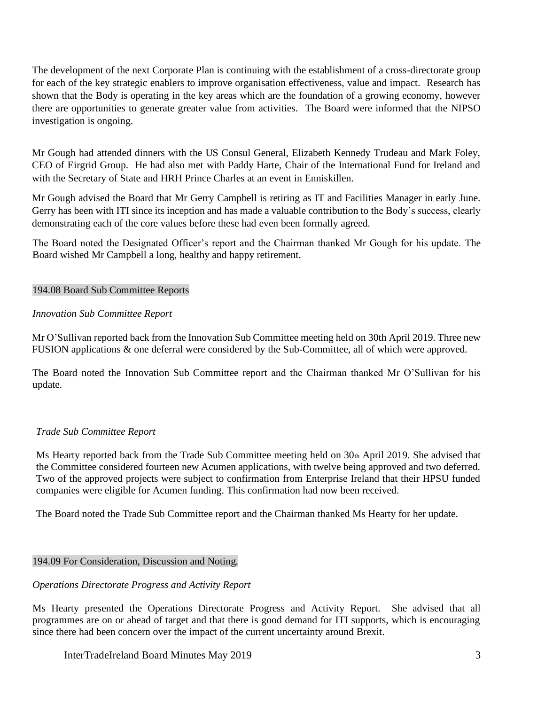The development of the next Corporate Plan is continuing with the establishment of a cross-directorate group for each of the key strategic enablers to improve organisation effectiveness, value and impact. Research has shown that the Body is operating in the key areas which are the foundation of a growing economy, however there are opportunities to generate greater value from activities. The Board were informed that the NIPSO investigation is ongoing.

Mr Gough had attended dinners with the US Consul General, Elizabeth Kennedy Trudeau and Mark Foley, CEO of Eirgrid Group. He had also met with Paddy Harte, Chair of the International Fund for Ireland and with the Secretary of State and HRH Prince Charles at an event in Enniskillen.

Mr Gough advised the Board that Mr Gerry Campbell is retiring as IT and Facilities Manager in early June. Gerry has been with ITI since its inception and has made a valuable contribution to the Body's success, clearly demonstrating each of the core values before these had even been formally agreed.

The Board noted the Designated Officer's report and the Chairman thanked Mr Gough for his update. The Board wished Mr Campbell a long, healthy and happy retirement.

# 194.08 Board Sub Committee Reports

# *Innovation Sub Committee Report*

Mr O'Sullivan reported back from the Innovation Sub Committee meeting held on 30th April 2019. Three new FUSION applications & one deferral were considered by the Sub-Committee, all of which were approved.

The Board noted the Innovation Sub Committee report and the Chairman thanked Mr O'Sullivan for his update.

# *Trade Sub Committee Report*

Ms Hearty reported back from the Trade Sub Committee meeting held on 30th April 2019. She advised that the Committee considered fourteen new Acumen applications, with twelve being approved and two deferred. Two of the approved projects were subject to confirmation from Enterprise Ireland that their HPSU funded companies were eligible for Acumen funding. This confirmation had now been received.

The Board noted the Trade Sub Committee report and the Chairman thanked Ms Hearty for her update.

# 194.09 For Consideration, Discussion and Noting.

# *Operations Directorate Progress and Activity Report*

Ms Hearty presented the Operations Directorate Progress and Activity Report. She advised that all programmes are on or ahead of target and that there is good demand for ITI supports, which is encouraging since there had been concern over the impact of the current uncertainty around Brexit.

InterTradeIreland Board Minutes May 2019 3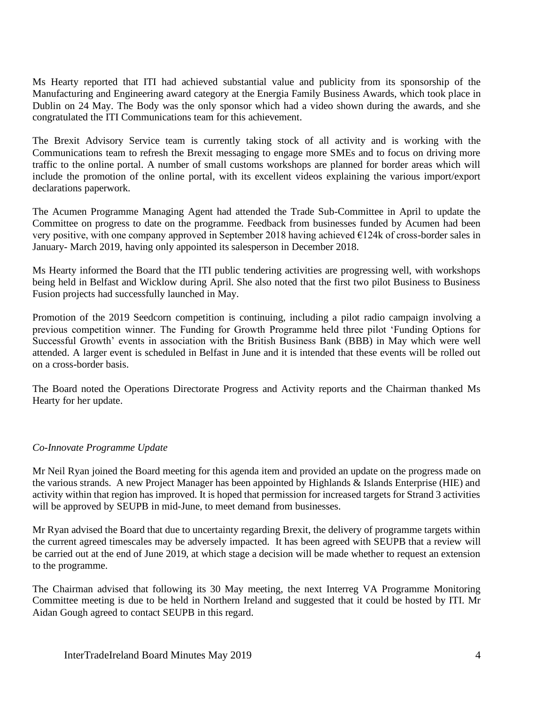Ms Hearty reported that ITI had achieved substantial value and publicity from its sponsorship of the Manufacturing and Engineering award category at the Energia Family Business Awards, which took place in Dublin on 24 May. The Body was the only sponsor which had a video shown during the awards, and she congratulated the ITI Communications team for this achievement.

The Brexit Advisory Service team is currently taking stock of all activity and is working with the Communications team to refresh the Brexit messaging to engage more SMEs and to focus on driving more traffic to the online portal. A number of small customs workshops are planned for border areas which will include the promotion of the online portal, with its excellent videos explaining the various import/export declarations paperwork.

The Acumen Programme Managing Agent had attended the Trade Sub-Committee in April to update the Committee on progress to date on the programme. Feedback from businesses funded by Acumen had been very positive, with one company approved in September 2018 having achieved €124k of cross-border sales in January- March 2019, having only appointed its salesperson in December 2018.

Ms Hearty informed the Board that the ITI public tendering activities are progressing well, with workshops being held in Belfast and Wicklow during April. She also noted that the first two pilot Business to Business Fusion projects had successfully launched in May.

Promotion of the 2019 Seedcorn competition is continuing, including a pilot radio campaign involving a previous competition winner. The Funding for Growth Programme held three pilot 'Funding Options for Successful Growth' events in association with the British Business Bank (BBB) in May which were well attended. A larger event is scheduled in Belfast in June and it is intended that these events will be rolled out on a cross-border basis.

The Board noted the Operations Directorate Progress and Activity reports and the Chairman thanked Ms Hearty for her update.

# *Co-Innovate Programme Update*

Mr Neil Ryan joined the Board meeting for this agenda item and provided an update on the progress made on the various strands. A new Project Manager has been appointed by Highlands & Islands Enterprise (HIE) and activity within that region has improved. It is hoped that permission for increased targets for Strand 3 activities will be approved by SEUPB in mid-June, to meet demand from businesses.

Mr Ryan advised the Board that due to uncertainty regarding Brexit, the delivery of programme targets within the current agreed timescales may be adversely impacted. It has been agreed with SEUPB that a review will be carried out at the end of June 2019, at which stage a decision will be made whether to request an extension to the programme.

The Chairman advised that following its 30 May meeting, the next Interreg VA Programme Monitoring Committee meeting is due to be held in Northern Ireland and suggested that it could be hosted by ITI. Mr Aidan Gough agreed to contact SEUPB in this regard.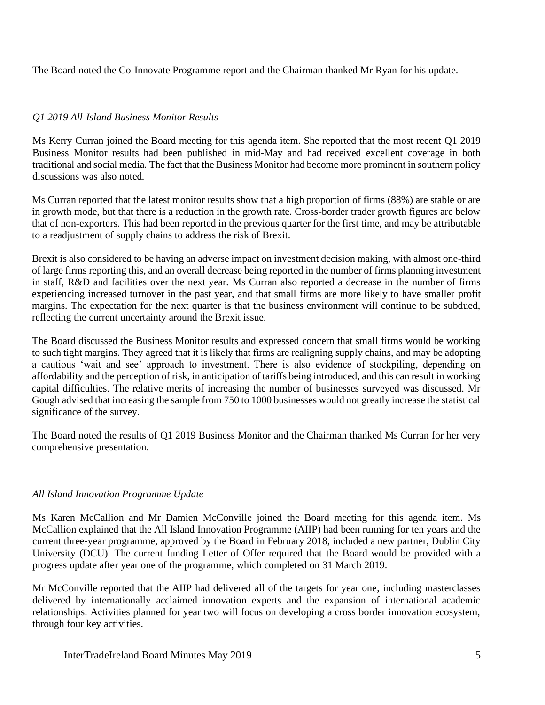The Board noted the Co-Innovate Programme report and the Chairman thanked Mr Ryan for his update.

# *Q1 2019 All-Island Business Monitor Results*

Ms Kerry Curran joined the Board meeting for this agenda item. She reported that the most recent Q1 2019 Business Monitor results had been published in mid-May and had received excellent coverage in both traditional and social media. The fact that the Business Monitor had become more prominent in southern policy discussions was also noted.

Ms Curran reported that the latest monitor results show that a high proportion of firms (88%) are stable or are in growth mode, but that there is a reduction in the growth rate. Cross-border trader growth figures are below that of non-exporters. This had been reported in the previous quarter for the first time, and may be attributable to a readjustment of supply chains to address the risk of Brexit.

Brexit is also considered to be having an adverse impact on investment decision making, with almost one-third of large firms reporting this, and an overall decrease being reported in the number of firms planning investment in staff, R&D and facilities over the next year. Ms Curran also reported a decrease in the number of firms experiencing increased turnover in the past year, and that small firms are more likely to have smaller profit margins. The expectation for the next quarter is that the business environment will continue to be subdued, reflecting the current uncertainty around the Brexit issue.

The Board discussed the Business Monitor results and expressed concern that small firms would be working to such tight margins. They agreed that it is likely that firms are realigning supply chains, and may be adopting a cautious 'wait and see' approach to investment. There is also evidence of stockpiling, depending on affordability and the perception of risk, in anticipation of tariffs being introduced, and this can result in working capital difficulties. The relative merits of increasing the number of businesses surveyed was discussed. Mr Gough advised that increasing the sample from 750 to 1000 businesses would not greatly increase the statistical significance of the survey.

The Board noted the results of Q1 2019 Business Monitor and the Chairman thanked Ms Curran for her very comprehensive presentation.

# *All Island Innovation Programme Update*

Ms Karen McCallion and Mr Damien McConville joined the Board meeting for this agenda item. Ms McCallion explained that the All Island Innovation Programme (AIIP) had been running for ten years and the current three-year programme, approved by the Board in February 2018, included a new partner, Dublin City University (DCU). The current funding Letter of Offer required that the Board would be provided with a progress update after year one of the programme, which completed on 31 March 2019.

Mr McConville reported that the AIIP had delivered all of the targets for year one, including masterclasses delivered by internationally acclaimed innovation experts and the expansion of international academic relationships. Activities planned for year two will focus on developing a cross border innovation ecosystem, through four key activities.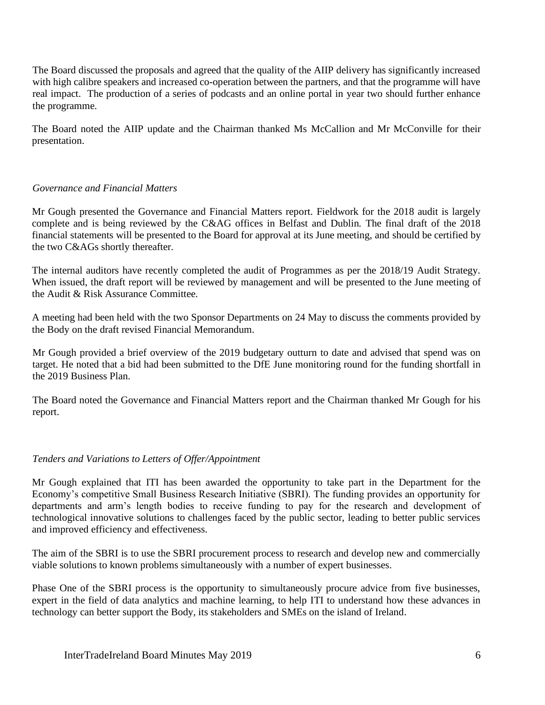The Board discussed the proposals and agreed that the quality of the AIIP delivery has significantly increased with high calibre speakers and increased co-operation between the partners, and that the programme will have real impact. The production of a series of podcasts and an online portal in year two should further enhance the programme.

The Board noted the AIIP update and the Chairman thanked Ms McCallion and Mr McConville for their presentation.

# *Governance and Financial Matters*

Mr Gough presented the Governance and Financial Matters report. Fieldwork for the 2018 audit is largely complete and is being reviewed by the C&AG offices in Belfast and Dublin. The final draft of the 2018 financial statements will be presented to the Board for approval at its June meeting, and should be certified by the two C&AGs shortly thereafter.

The internal auditors have recently completed the audit of Programmes as per the 2018/19 Audit Strategy. When issued, the draft report will be reviewed by management and will be presented to the June meeting of the Audit & Risk Assurance Committee.

A meeting had been held with the two Sponsor Departments on 24 May to discuss the comments provided by the Body on the draft revised Financial Memorandum.

Mr Gough provided a brief overview of the 2019 budgetary outturn to date and advised that spend was on target. He noted that a bid had been submitted to the DfE June monitoring round for the funding shortfall in the 2019 Business Plan.

The Board noted the Governance and Financial Matters report and the Chairman thanked Mr Gough for his report.

# *Tenders and Variations to Letters of Offer/Appointment*

Mr Gough explained that ITI has been awarded the opportunity to take part in the Department for the Economy's competitive Small Business Research Initiative (SBRI). The funding provides an opportunity for departments and arm's length bodies to receive funding to pay for the research and development of technological innovative solutions to challenges faced by the public sector, leading to better public services and improved efficiency and effectiveness.

The aim of the SBRI is to use the SBRI procurement process to research and develop new and commercially viable solutions to known problems simultaneously with a number of expert businesses.

Phase One of the SBRI process is the opportunity to simultaneously procure advice from five businesses, expert in the field of data analytics and machine learning, to help ITI to understand how these advances in technology can better support the Body, its stakeholders and SMEs on the island of Ireland.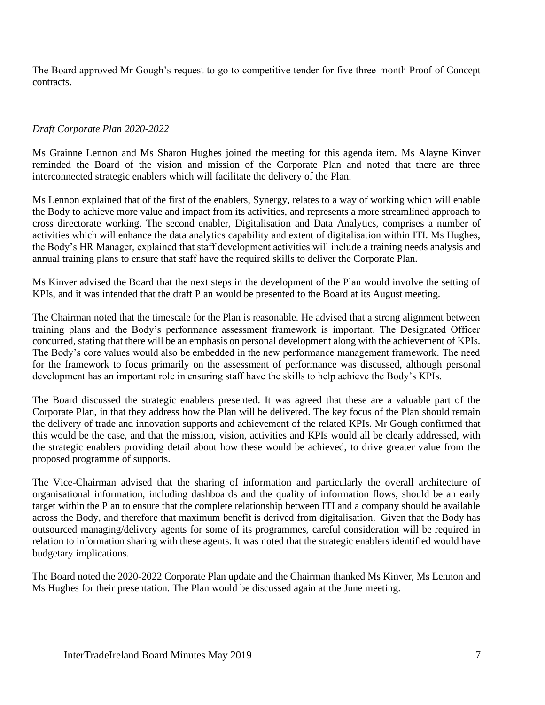The Board approved Mr Gough's request to go to competitive tender for five three-month Proof of Concept contracts.

#### *Draft Corporate Plan 2020-2022*

Ms Grainne Lennon and Ms Sharon Hughes joined the meeting for this agenda item. Ms Alayne Kinver reminded the Board of the vision and mission of the Corporate Plan and noted that there are three interconnected strategic enablers which will facilitate the delivery of the Plan.

Ms Lennon explained that of the first of the enablers, Synergy, relates to a way of working which will enable the Body to achieve more value and impact from its activities, and represents a more streamlined approach to cross directorate working. The second enabler, Digitalisation and Data Analytics, comprises a number of activities which will enhance the data analytics capability and extent of digitalisation within ITI. Ms Hughes, the Body's HR Manager, explained that staff development activities will include a training needs analysis and annual training plans to ensure that staff have the required skills to deliver the Corporate Plan.

Ms Kinver advised the Board that the next steps in the development of the Plan would involve the setting of KPIs, and it was intended that the draft Plan would be presented to the Board at its August meeting.

The Chairman noted that the timescale for the Plan is reasonable. He advised that a strong alignment between training plans and the Body's performance assessment framework is important. The Designated Officer concurred, stating that there will be an emphasis on personal development along with the achievement of KPIs. The Body's core values would also be embedded in the new performance management framework. The need for the framework to focus primarily on the assessment of performance was discussed, although personal development has an important role in ensuring staff have the skills to help achieve the Body's KPIs.

The Board discussed the strategic enablers presented. It was agreed that these are a valuable part of the Corporate Plan, in that they address how the Plan will be delivered. The key focus of the Plan should remain the delivery of trade and innovation supports and achievement of the related KPIs. Mr Gough confirmed that this would be the case, and that the mission, vision, activities and KPIs would all be clearly addressed, with the strategic enablers providing detail about how these would be achieved, to drive greater value from the proposed programme of supports.

The Vice-Chairman advised that the sharing of information and particularly the overall architecture of organisational information, including dashboards and the quality of information flows, should be an early target within the Plan to ensure that the complete relationship between ITI and a company should be available across the Body, and therefore that maximum benefit is derived from digitalisation. Given that the Body has outsourced managing/delivery agents for some of its programmes, careful consideration will be required in relation to information sharing with these agents. It was noted that the strategic enablers identified would have budgetary implications.

The Board noted the 2020-2022 Corporate Plan update and the Chairman thanked Ms Kinver, Ms Lennon and Ms Hughes for their presentation. The Plan would be discussed again at the June meeting.